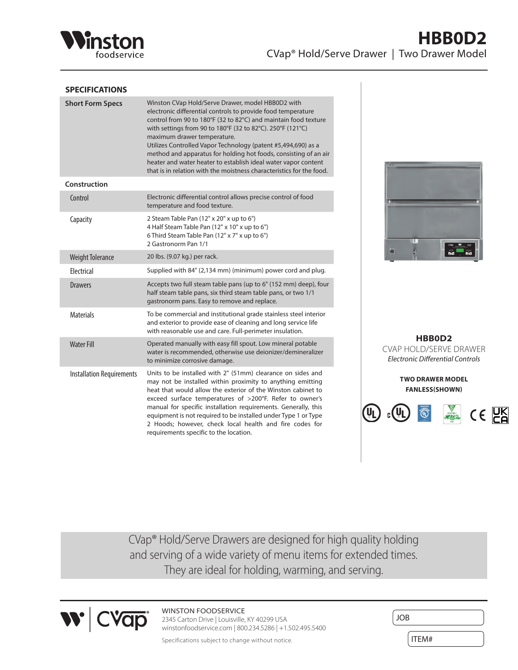

### **SPECIFICATIONS**

| <b>Short Form Specs</b>          | Winston CVap Hold/Serve Drawer, model HBB0D2 with<br>electronic differential controls to provide food temperature<br>control from 90 to 180°F (32 to 82°C) and maintain food texture<br>with settings from 90 to 180°F (32 to 82°C). 250°F (121°C)<br>maximum drawer temperature.<br>Utilizes Controlled Vapor Technology (patent #5,494,690) as a<br>method and apparatus for holding hot foods, consisting of an air<br>heater and water heater to establish ideal water vapor content<br>that is in relation with the moistness characteristics for the food. |
|----------------------------------|------------------------------------------------------------------------------------------------------------------------------------------------------------------------------------------------------------------------------------------------------------------------------------------------------------------------------------------------------------------------------------------------------------------------------------------------------------------------------------------------------------------------------------------------------------------|
| Construction                     |                                                                                                                                                                                                                                                                                                                                                                                                                                                                                                                                                                  |
| Control                          | Electronic differential control allows precise control of food<br>temperature and food texture.                                                                                                                                                                                                                                                                                                                                                                                                                                                                  |
| Capacity                         | 2 Steam Table Pan (12" x 20" x up to 6")<br>4 Half Steam Table Pan (12" x 10" x up to 6")<br>6 Third Steam Table Pan (12" x 7" x up to 6")<br>2 Gastronorm Pan 1/1                                                                                                                                                                                                                                                                                                                                                                                               |
| <b>Weight Tolerance</b>          | 20 lbs. (9.07 kg.) per rack.                                                                                                                                                                                                                                                                                                                                                                                                                                                                                                                                     |
| Electrical                       | Supplied with 84" (2,134 mm) (minimum) power cord and plug.                                                                                                                                                                                                                                                                                                                                                                                                                                                                                                      |
| <b>Drawers</b>                   | Accepts two full steam table pans (up to 6" (152 mm) deep), four<br>half steam table pans, six third steam table pans, or two 1/1<br>gastronorm pans. Easy to remove and replace.                                                                                                                                                                                                                                                                                                                                                                                |
| <b>Materials</b>                 | To be commercial and institutional grade stainless steel interior<br>and exterior to provide ease of cleaning and long service life<br>with reasonable use and care. Full-perimeter insulation.                                                                                                                                                                                                                                                                                                                                                                  |
| <b>Water Fill</b>                | Operated manually with easy fill spout. Low mineral potable<br>water is recommended, otherwise use deionizer/demineralizer<br>to minimize corrosive damage.                                                                                                                                                                                                                                                                                                                                                                                                      |
| <b>Installation Requirements</b> | Units to be installed with 2" (51mm) clearance on sides and<br>may not be installed within proximity to anything emitting<br>heat that would allow the exterior of the Winston cabinet to<br>exceed surface temperatures of >200°F. Refer to owner's<br>manual for specific installation requirements. Generally, this<br>equipment is not required to be installed under Type 1 or Type<br>2 Hoods; however, check local health and fire codes for<br>requirements specific to the location.                                                                    |



**HBB0D2** CVAP HOLD/SERVE DRAWER *Electronic Differential Controls*

> **TWO DRAWER MODEL FANLESS(SHOWN)**



CVap® Hold/Serve Drawers are designed for high quality holding and serving of a wide variety of menu items for extended times. They are ideal for holding, warming, and serving.



WINSTON FOODSERVICE 2345 Carton Drive | Louisville, KY 40299 USA winstonfoodservice.com | 800.234.5286 | +1.502.495.5400

| JOB   |  |
|-------|--|
| ITEM# |  |

Specifications subject to change without notice.